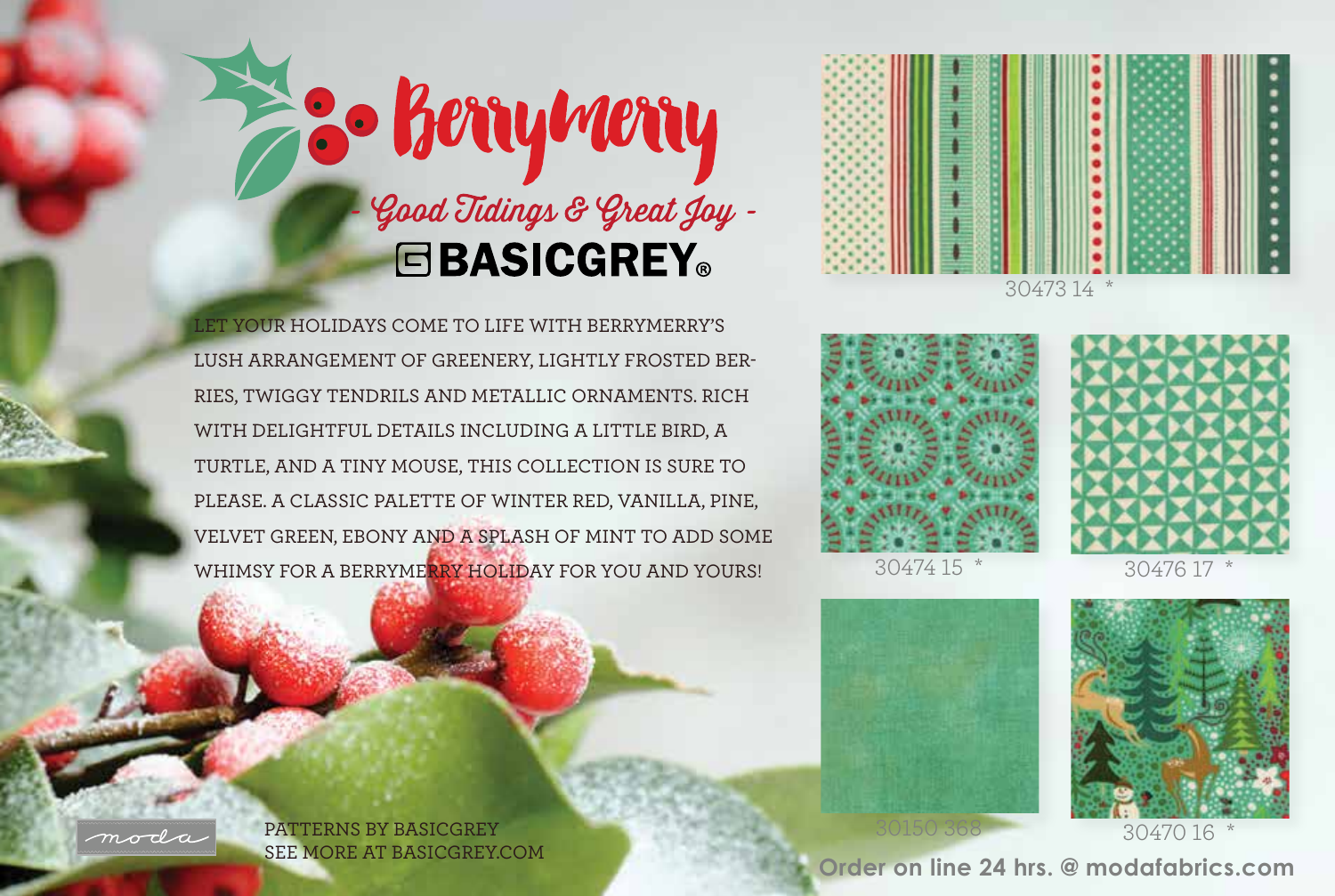



LET YOUR HOLIDAYS COME TO LIFE WITH BERRYMERRY'S LUSH ARRANGEMENT OF GREENERY, LIGHTLY FROSTED BER-RIES, TWIGGY TENDRILS AND METALLIC ORNAMENTS. RICH WITH DELIGHTFUL DETAILS INCLUDING A LITTLE BIRD, A TURTLE, AND A TINY MOUSE, THIS COLLECTION IS SURE TO PLEASE. A CLASSIC PALETTE OF WINTER RED, VANILLA, PINE, VELVET GREEN, EBONY AND A SPLASH OF MINT TO ADD SOME WHIMSY FOR A BERRYMERRY HOLIDAY FOR YOU AND YOURS!











3047016

PATTERNS BY BASICGREY

SEE MORE AT BASICGREY.COM **Order on line 24 hrs. @ modafabrics.com**

moda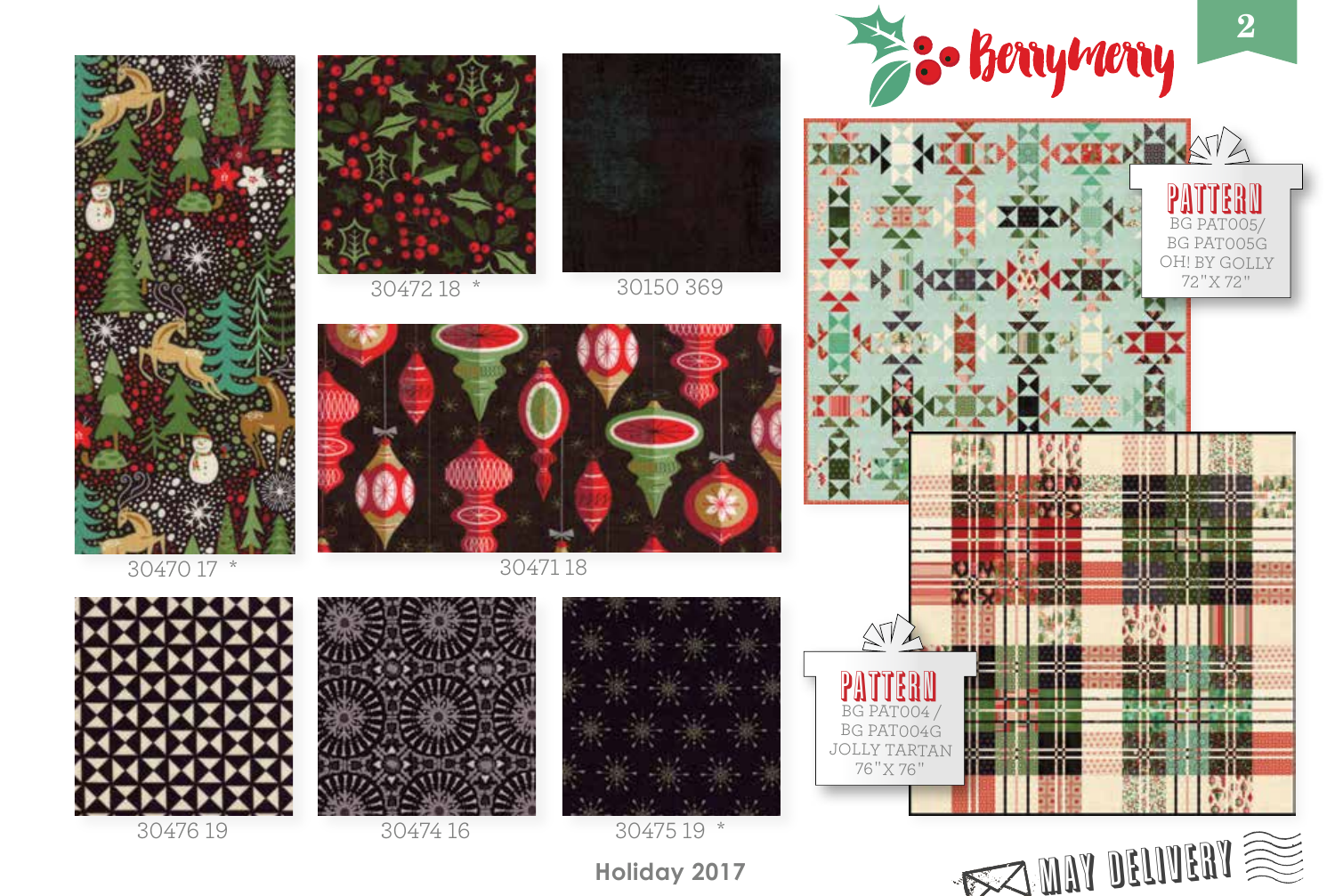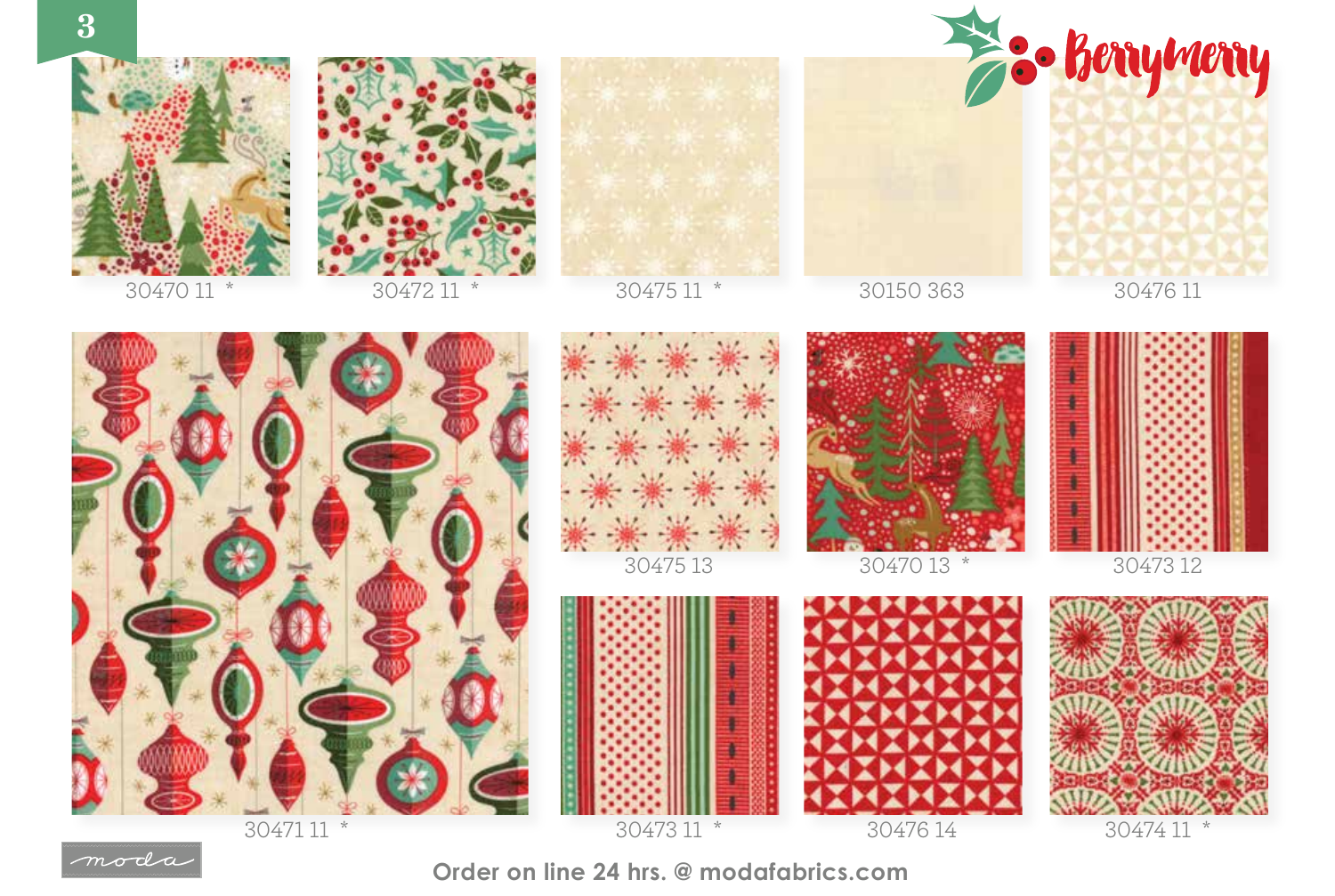



**Order on line 24 hrs. @ modafabrics.com**